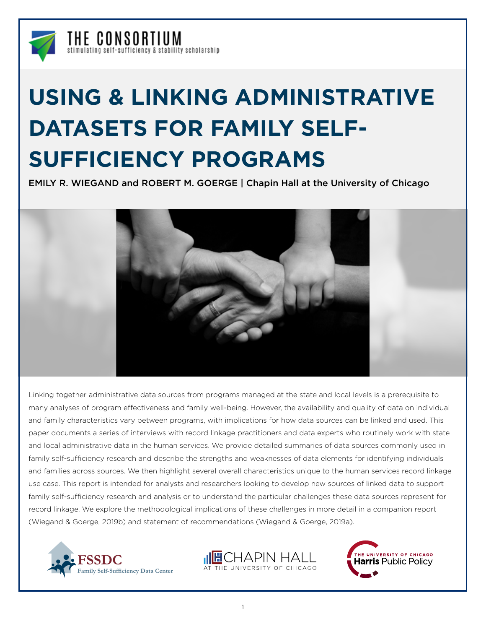

# **USING & LINKING ADMINISTRATIVE DATASETS FOR FAMILY SELF-SUFFICIENCY PROGRAMS**

EMILY R. WIEGAND and ROBERT M. GOERGE | Chapin Hall at the University of Chicago



Linking together administrative data sources from programs managed at the state and local levels is a prerequisite to many analyses of program effectiveness and family well-being. However, the availability and quality of data on individual and family characteristics vary between programs, with implications for how data sources can be linked and used. This paper documents a series of interviews with record linkage practitioners and data experts who routinely work with state and local administrative data in the human services. We provide detailed summaries of data sources commonly used in family self-sufficiency research and describe the strengths and weaknesses of data elements for identifying individuals and families across sources. We then highlight several overall characteristics unique to the human services record linkage use case. This report is intended for analysts and researchers looking to develop new sources of linked data to support family self-sufficiency research and analysis or to understand the particular challenges these data sources represent for record linkage. We explore the methodological implications of these challenges in more detail in a companion report (Wiegand & Goerge, 2019b) and statement of recommendations (Wiegand & Goerge, 2019a).





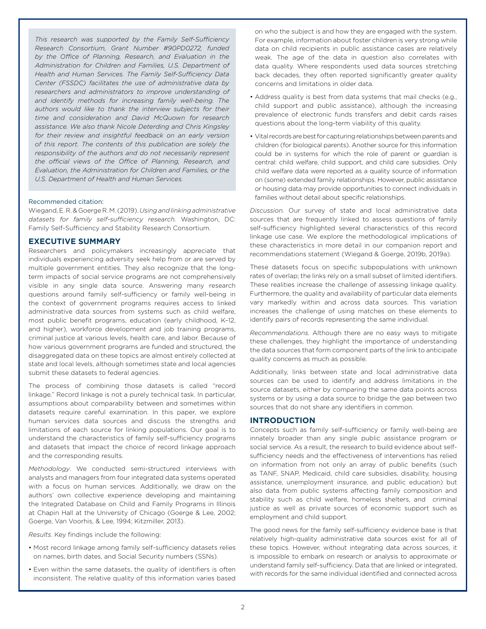*This research was supported by the Family Self-Sufficiency Research Consortium, Grant Number #90PD0272, funded by the Office of Planning, Research, and Evaluation in the Administration for Children and Families, U.S. Department of Health and Human Services. The Family Self-Sufficiency Data Center (FSSDC) facilitates the use of administrative data by researchers and administrators to improve understanding of and identify methods for increasing family well-being. The authors would like to thank the interview subjects for their time and consideration and David McQuown for research assistance. We also thank Nicole Deterding and Chris Kingsley for their review and insightful feedback on an early version of this report. The contents of this publication are solely the responsibility of the authors and do not necessarily represent the official views of the Office of Planning, Research, and Evaluation, the Administration for Children and Families, or the U.S. Department of Health and Human Services.* 

#### Recommended citation:

Wiegand, E. R. & Goerge R. M. (2019). *Using and linking administrative datasets for family self-sufficiency research.* Washington, DC: Family Self-Sufficiency and Stability Research Consortium.

# **EXECUTIVE SUMMARY**

Researchers and policymakers increasingly appreciate that individuals experiencing adversity seek help from or are served by multiple government entities. They also recognize that the longterm impacts of social service programs are not comprehensively visible in any single data source. Answering many research questions around family self-sufficiency or family well-being in the context of government programs requires access to linked administrative data sources from systems such as child welfare, most public benefit programs, education (early childhood, K–12, and higher), workforce development and job training programs, criminal justice at various levels, health care, and labor. Because of how various government programs are funded and structured, the disaggregated data on these topics are almost entirely collected at state and local levels, although sometimes state and local agencies submit these datasets to federal agencies.

The process of combining those datasets is called "record linkage." Record linkage is not a purely technical task. In particular, assumptions about comparability between and sometimes within datasets require careful examination. In this paper, we explore human services data sources and discuss the strengths and limitations of each source for linking populations. Our goal is to understand the characteristics of family self-sufficiency programs and datasets that impact the choice of record linkage approach and the corresponding results.

*Methodology*. We conducted semi-structured interviews with analysts and managers from four integrated data systems operated with a focus on human services. Additionally, we draw on the authors' own collective experience developing and maintaining the Integrated Database on Child and Family Programs in Illinois at Chapin Hall at the University of Chicago (Goerge & Lee, 2002; Goerge, Van Voorhis, & Lee, 1994; Kitzmiller, 2013).

*Results*. Key findings include the following:

- Most record linkage among family self-sufficiency datasets relies on names, birth dates, and Social Security numbers (SSNs).
- Even within the same datasets, the quality of identifiers is often inconsistent. The relative quality of this information varies based

on who the subject is and how they are engaged with the system. For example, information about foster children is very strong while data on child recipients in public assistance cases are relatively weak. The age of the data in question also correlates with data quality. Where respondents used data sources stretching back decades, they often reported significantly greater quality concerns and limitations in older data.

- Address quality is best from data systems that mail checks (e.g., child support and public assistance), although the increasing prevalence of electronic funds transfers and debit cards raises questions about the long-term viability of this quality.
- Vital records are best for capturing relationships between parents and children (for biological parents). Another source for this information could be in systems for which the role of parent or guardian is central: child welfare, child support, and child care subsidies. Only child welfare data were reported as a quality source of information on (some) extended family relationships. However, public assistance or housing data may provide opportunities to connect individuals in families without detail about specific relationships.

*Discussion.* Our survey of state and local administrative data sources that are frequently linked to assess questions of family self-sufficiency highlighted several characteristics of this record linkage use case. We explore the methodological implications of these characteristics in more detail in our companion report and recommendations statement (Wiegand & Goerge, 2019b, 2019a).

These datasets focus on specific subpopulations with unknown rates of overlap; the links rely on a small subset of limited identifiers. These realities increase the challenge of assessing linkage quality. Furthermore, the quality and availability of particular data elements vary markedly within and across data sources. This variation increases the challenge of using matches on these elements to identify pairs of records representing the same individual.

*Recommendations.* Although there are no easy ways to mitigate these challenges, they highlight the importance of understanding the data sources that form component parts of the link to anticipate quality concerns as much as possible.

Additionally, links between state and local administrative data sources can be used to identify and address limitations in the source datasets, either by comparing the same data points across systems or by using a data source to bridge the gap between two sources that do not share any identifiers in common.

#### **INTRODUCTION**

Concepts such as family self-sufficiency or family well-being are innately broader than any single public assistance program or social service. As a result, the research to build evidence about selfsufficiency needs and the effectiveness of interventions has relied on information from not only an array of public benefits (such as TANF, SNAP, Medicaid, child care subsidies, disability, housing assistance, unemployment insurance, and public education) but also data from public systems affecting family composition and stability such as child welfare, homeless shelters, and criminal justice as well as private sources of economic support such as employment and child support.

The good news for the family self-sufficiency evidence base is that relatively high-quality administrative data sources exist for all of these topics. However, without integrating data across sources, it is impossible to embark on research or analysis to approximate or understand family self-sufficiency. Data that are linked or integrated, with records for the same individual identified and connected across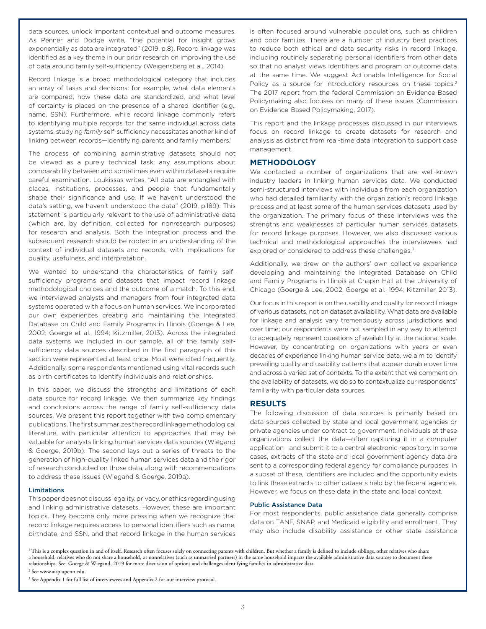data sources, unlock important contextual and outcome measures. As Penner and Dodge write, "the potential for insight grows exponentially as data are integrated" (2019, p.8). Record linkage was identified as a key theme in our prior research on improving the use of data around family self-sufficiency (Weigensberg et al., 2014).

Record linkage is a broad methodological category that includes an array of tasks and decisions: for example, what data elements are compared, how these data are standardized, and what level of certainty is placed on the presence of a shared identifier (e.g., name, SSN). Furthermore, while record linkage commonly refers to identifying multiple records for the same individual across data systems, studying *family* self-sufficiency necessitates another kind of linking between records—identifying parents and family members.<sup>1</sup>

The process of combining administrative datasets should not be viewed as a purely technical task; any assumptions about comparability between and sometimes even within datasets require careful examination. Loukissas writes, "All data are entangled with places, institutions, processes, and people that fundamentally shape their significance and use. If we haven't understood the data's setting, we haven't understood the data" (2019, p.189). This statement is particularly relevant to the use of administrative data (which are, by definition, collected for nonresearch purposes) for research and analysis. Both the integration process and the subsequent research should be rooted in an understanding of the context of individual datasets and records, with implications for quality, usefulness, and interpretation.

We wanted to understand the characteristics of family selfsufficiency programs and datasets that impact record linkage methodological choices and the outcome of a match. To this end, we interviewed analysts and managers from four integrated data systems operated with a focus on human services. We incorporated our own experiences creating and maintaining the Integrated Database on Child and Family Programs in Illinois (Goerge & Lee, 2002; Goerge et al., 1994; Kitzmiller, 2013). Across the integrated data systems we included in our sample, all of the family selfsufficiency data sources described in the first paragraph of this section were represented at least once. Most were cited frequently. Additionally, some respondents mentioned using vital records such as birth certificates to identify individuals and relationships.

In this paper, we discuss the strengths and limitations of each data source for record linkage. We then summarize key findings and conclusions across the range of family self-sufficiency data sources. We present this report together with two complementary publications. The first summarizes the record linkage methodological literature, with particular attention to approaches that may be valuable for analysts linking human services data sources (Wiegand & Goerge, 2019b). The second lays out a series of threats to the generation of high-quality linked human services data and the rigor of research conducted on those data, along with recommendations to address these issues (Wiegand & Goerge, 2019a).

#### Limitations

This paper does not discuss legality, privacy, or ethics regarding using and linking administrative datasets. However, these are important topics. They become only more pressing when we recognize that record linkage requires access to personal identifiers such as name, birthdate, and SSN, and that record linkage in the human services is often focused around vulnerable populations, such as children and poor families. There are a number of industry best practices to reduce both ethical and data security risks in record linkage, including routinely separating personal identifiers from other data so that no analyst views identifiers and program or outcome data at the same time. We suggest Actionable Intelligence for Social Policy as a source for introductory resources on these topics.<sup>2</sup> The 2017 report from the federal Commission on Evidence-Based Policymaking also focuses on many of these issues (Commission on Evidence-Based Policymaking, 2017).

This report and the linkage processes discussed in our interviews focus on record linkage to create datasets for research and analysis as distinct from real-time data integration to support case management.

#### **METHODOLOGY**

We contacted a number of organizations that are well-known industry leaders in linking human services data. We conducted semi-structured interviews with individuals from each organization who had detailed familiarity with the organization's record linkage process and at least some of the human services datasets used by the organization. The primary focus of these interviews was the strengths and weaknesses of particular human services datasets for record linkage purposes. However, we also discussed various technical and methodological approaches the interviewees had explored or considered to address these challenges.<sup>3</sup>

Additionally, we drew on the authors' own collective experience developing and maintaining the Integrated Database on Child and Family Programs in Illinois at Chapin Hall at the University of Chicago (Goerge & Lee, 2002; Goerge et al., 1994; Kitzmiller, 2013).

Our focus in this report is on the usability and quality for record linkage of various datasets, not on dataset availability. What data are available for linkage and analysis vary tremendously across jurisdictions and over time; our respondents were not sampled in any way to attempt to adequately represent questions of availability at the national scale. However, by concentrating on organizations with years or even decades of experience linking human service data, we aim to identify prevailing quality and usability patterns that appear durable over time and across a varied set of contexts. To the extent that we comment on the availability of datasets, we do so to contextualize our respondents' familiarity with particular data sources.

#### **RESULTS**

The following discussion of data sources is primarily based on data sources collected by state and local government agencies or private agencies under contract to government. Individuals at these organizations collect the data—often capturing it in a computer application—and submit it to a central electronic repository. In some cases, extracts of the state and local government agency data are sent to a corresponding federal agency for compliance purposes. In a subset of these, identifiers are included and the opportunity exists to link these extracts to other datasets held by the federal agencies. However, we focus on these data in the state and local context.

#### Public Assistance Data

For most respondents, public assistance data generally comprise data on TANF, SNAP, and Medicaid eligibility and enrollment. They may also include disability assistance or other state assistance

<sup>1</sup> This is a complex question in and of itself. Research often focuses solely on connecting parents with children. But whether a family is defined to include siblings, other relatives who share a household, relatives who do not share a household, or nonrelatives (such as unmarried partners) in the same household impacts the available administrative data sources to document these relationships. See Goerge & Wiegand, 2019 for more discussion of options and challenges identifying families in administrative data.

2 See www.aisp.upenn.edu.

<sup>3</sup> See Appendix 1 for full list of interviewees and Appendix 2 for our interview protocol.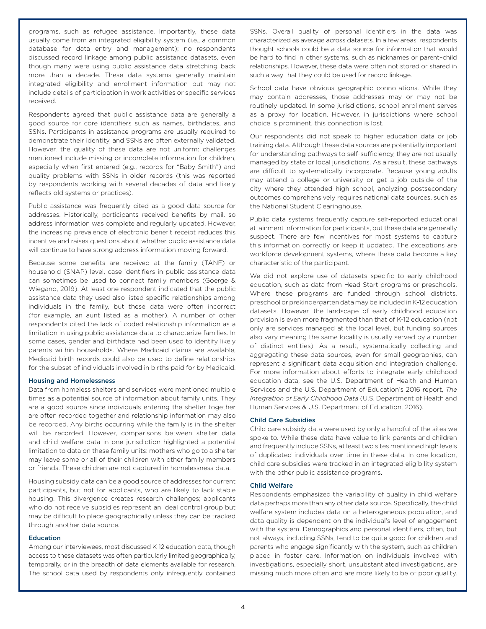programs, such as refugee assistance. Importantly, these data usually come from an integrated eligibility system (i.e., a common database for data entry and management); no respondents discussed record linkage among public assistance datasets, even though many were using public assistance data stretching back more than a decade. These data systems generally maintain integrated eligibility and enrollment information but may not include details of participation in work activities or specific services received.

Respondents agreed that public assistance data are generally a good source for core identifiers such as names, birthdates, and SSNs. Participants in assistance programs are usually required to demonstrate their identity, and SSNs are often externally validated. However, the quality of these data are not uniform: challenges mentioned include missing or incomplete information for children, especially when first entered (e.g., records for "Baby Smith") and quality problems with SSNs in older records (this was reported by respondents working with several decades of data and likely reflects old systems or practices).

Public assistance was frequently cited as a good data source for addresses. Historically, participants received benefits by mail, so address information was complete and regularly updated. However, the increasing prevalence of electronic benefit receipt reduces this incentive and raises questions about whether public assistance data will continue to have strong address information moving forward.

Because some benefits are received at the family (TANF) or household (SNAP) level, case identifiers in public assistance data can sometimes be used to connect family members (Goerge & Wiegand, 2019). At least one respondent indicated that the public assistance data they used also listed specific relationships among individuals in the family, but these data were often incorrect (for example, an aunt listed as a mother). A number of other respondents cited the lack of coded relationship information as a limitation in using public assistance data to characterize families. In some cases, gender and birthdate had been used to identify likely parents within households. Where Medicaid claims are available, Medicaid birth records could also be used to define relationships for the subset of individuals involved in births paid for by Medicaid.

#### Housing and Homelessness

Data from homeless shelters and services were mentioned multiple times as a potential source of information about family units. They are a good source since individuals entering the shelter together are often recorded together and relationship information may also be recorded. Any births occurring while the family is in the shelter will be recorded. However, comparisons between shelter data and child welfare data in one jurisdiction highlighted a potential limitation to data on these family units: mothers who go to a shelter may leave some or all of their children with other family members or friends. These children are not captured in homelessness data.

Housing subsidy data can be a good source of addresses for current participants, but not for applicants, who are likely to lack stable housing. This divergence creates research challenges; applicants who do not receive subsidies represent an ideal control group but may be difficult to place geographically unless they can be tracked through another data source.

#### Education

Among our interviewees, most discussed K-12 education data, though access to these datasets was often particularly limited geographically, temporally, or in the breadth of data elements available for research. The school data used by respondents only infrequently contained SSNs. Overall quality of personal identifiers in the data was characterized as average across datasets. In a few areas, respondents thought schools could be a data source for information that would be hard to find in other systems, such as nicknames or parent–child relationships. However, these data were often not stored or shared in such a way that they could be used for record linkage.

School data have obvious geographic connotations. While they may contain addresses, those addresses may or may not be routinely updated. In some jurisdictions, school enrollment serves as a proxy for location. However, in jurisdictions where school choice is prominent, this connection is lost.

Our respondents did not speak to higher education data or job training data. Although these data sources are potentially important for understanding pathways to self-sufficiency, they are not usually managed by state or local jurisdictions. As a result, these pathways are difficult to systematically incorporate. Because young adults may attend a college or university or get a job outside of the city where they attended high school, analyzing postsecondary outcomes comprehensively requires national data sources, such as the National Student Clearinghouse.

Public data systems frequently capture self-reported educational attainment information for participants, but these data are generally suspect. There are few incentives for most systems to capture this information correctly or keep it updated. The exceptions are workforce development systems, where these data become a key characteristic of the participant.

We did not explore use of datasets specific to early childhood education, such as data from Head Start programs or preschools. Where these programs are funded through school districts, preschool or prekindergarten data may be included in K-12 education datasets. However, the landscape of early childhood education provision is even more fragmented than that of K-12 education (not only are services managed at the local level, but funding sources also vary meaning the same locality is usually served by a number of distinct entities). As a result, systematically collecting and aggregating these data sources, even for small geographies, can represent a significant data acquisition and integration challenge. For more information about efforts to integrate early childhood education data, see the U.S. Department of Health and Human Services and the U.S. Department of Education's 2016 report, *The Integration of Early Childhood Data* (U.S. Department of Health and Human Services & U.S. Department of Education, 2016).

### Child Care Subsidies

Child care subsidy data were used by only a handful of the sites we spoke to. While these data have value to link parents and children and frequently include SSNs, at least two sites mentioned high levels of duplicated individuals over time in these data. In one location, child care subsidies were tracked in an integrated eligibility system with the other public assistance programs.

#### Child Welfare

Respondents emphasized the variability of quality in child welfare data perhaps more than any other data source. Specifically, the child welfare system includes data on a heterogeneous population, and data quality is dependent on the individual's level of engagement with the system. Demographics and personal identifiers, often, but not always, including SSNs, tend to be quite good for children and parents who engage significantly with the system, such as children placed in foster care. Information on individuals involved with investigations, especially short, unsubstantiated investigations, are missing much more often and are more likely to be of poor quality.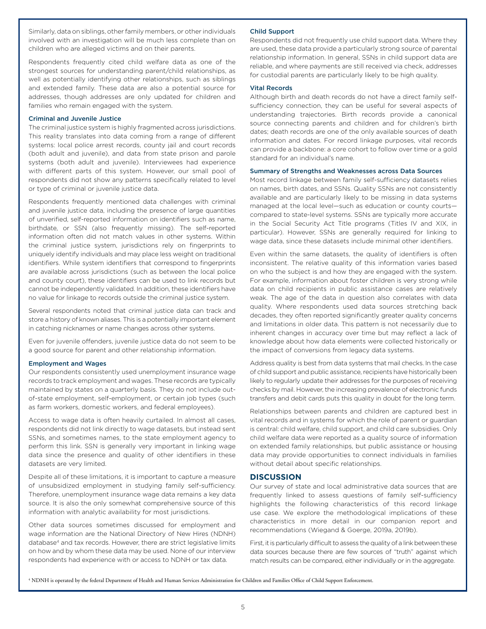Similarly, data on siblings, other family members, or other individuals involved with an investigation will be much less complete than on children who are alleged victims and on their parents.

Respondents frequently cited child welfare data as one of the strongest sources for understanding parent/child relationships, as well as potentially identifying other relationships, such as siblings and extended family. These data are also a potential source for addresses, though addresses are only updated for children and families who remain engaged with the system.

#### Criminal and Juvenile Justice

The criminal justice system is highly fragmented across jurisdictions. This reality translates into data coming from a range of different systems: local police arrest records, county jail and court records (both adult and juvenile), and data from state prison and parole systems (both adult and juvenile). Interviewees had experience with different parts of this system. However, our small pool of respondents did not show any patterns specifically related to level or type of criminal or juvenile justice data.

Respondents frequently mentioned data challenges with criminal and juvenile justice data, including the presence of large quantities of unverified, self-reported information on identifiers such as name, birthdate, or SSN (also frequently missing). The self-reported information often did not match values in other systems. Within the criminal justice system, jurisdictions rely on fingerprints to uniquely identify individuals and may place less weight on traditional identifiers. While system identifiers that correspond to fingerprints are available across jurisdictions (such as between the local police and county court), these identifiers can be used to link records but cannot be independently validated. In addition, these identifiers have no value for linkage to records outside the criminal justice system.

Several respondents noted that criminal justice data can track and store a history of known aliases. This is a potentially important element in catching nicknames or name changes across other systems.

Even for juvenile offenders, juvenile justice data do not seem to be a good source for parent and other relationship information.

#### Employment and Wages

Our respondents consistently used unemployment insurance wage records to track employment and wages. These records are typically maintained by states on a quarterly basis. They do not include outof-state employment, self-employment, or certain job types (such as farm workers, domestic workers, and federal employees).

Access to wage data is often heavily curtailed. In almost all cases, respondents did not link directly to wage datasets, but instead sent SSNs, and sometimes names, to the state employment agency to perform this link. SSN is generally very important in linking wage data since the presence and quality of other identifiers in these datasets are very limited.

Despite all of these limitations, it is important to capture a measure of unsubsidized employment in studying family self-sufficiency. Therefore, unemployment insurance wage data remains a key data source. It is also the only somewhat comprehensive source of this information with analytic availability for most jurisdictions.

Other data sources sometimes discussed for employment and wage information are the National Directory of New Hires (NDNH) database<sup>4</sup> and tax records. However, there are strict legislative limits on how and by whom these data may be used. None of our interview respondents had experience with or access to NDNH or tax data.

#### Child Support

Respondents did not frequently use child support data. Where they are used, these data provide a particularly strong source of parental relationship information. In general, SSNs in child support data are reliable, and where payments are still received via check, addresses for custodial parents are particularly likely to be high quality.

#### Vital Records

Although birth and death records do not have a direct family selfsufficiency connection, they can be useful for several aspects of understanding trajectories. Birth records provide a canonical source connecting parents and children and for children's birth dates; death records are one of the only available sources of death information and dates. For record linkage purposes, vital records can provide a backbone: a core cohort to follow over time or a gold standard for an individual's name.

#### Summary of Strengths and Weaknesses across Data Sources

Most record linkage between family self-sufficiency datasets relies on names, birth dates, and SSNs. Quality SSNs are not consistently available and are particularly likely to be missing in data systems managed at the local level—such as education or county courts compared to state-level systems. SSNs are typically more accurate in the Social Security Act Title programs (Titles IV and XIX, in particular). However, SSNs are generally required for linking to wage data, since these datasets include minimal other identifiers.

Even within the same datasets, the quality of identifiers is often inconsistent. The relative quality of this information varies based on who the subject is and how they are engaged with the system. For example, information about foster children is very strong while data on child recipients in public assistance cases are relatively weak. The age of the data in question also correlates with data quality. Where respondents used data sources stretching back decades, they often reported significantly greater quality concerns and limitations in older data. This pattern is not necessarily due to inherent changes in accuracy over time but may reflect a lack of knowledge about how data elements were collected historically or the impact of conversions from legacy data systems.

Address quality is best from data systems that mail checks. In the case of child support and public assistance, recipients have historically been likely to regularly update their addresses for the purposes of receiving checks by mail. However, the increasing prevalence of electronic funds transfers and debit cards puts this quality in doubt for the long term.

Relationships between parents and children are captured best in vital records and in systems for which the role of parent or guardian is central: child welfare, child support, and child care subsidies. Only child welfare data were reported as a quality source of information on extended family relationships, but public assistance or housing data may provide opportunities to connect individuals in families without detail about specific relationships.

#### **DISCUSSION**

Our survey of state and local administrative data sources that are frequently linked to assess questions of family self-sufficiency highlights the following characteristics of this record linkage use case. We explore the methodological implications of these characteristics in more detail in our companion report and recommendations (Wiegand & Goerge, 2019a, 2019b).

First, it is particularly difficult to assess the quality of a link between these data sources because there are few sources of "truth" against which match results can be compared, either individually or in the aggregate.

4 NDNH is operated by the federal Department of Health and Human Services Administration for Children and Families Office of Child Support Enforcement.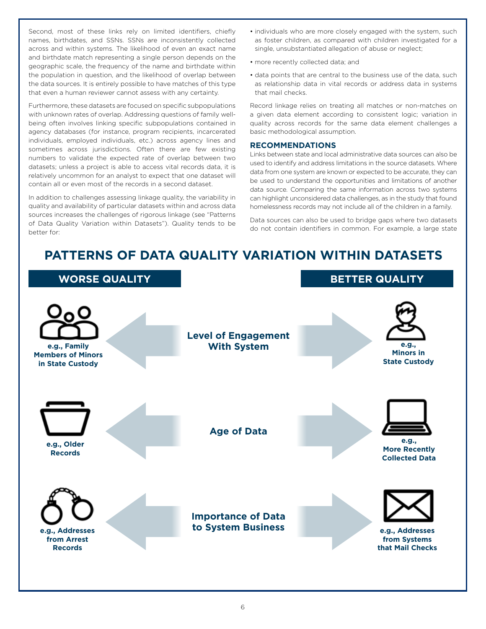Second, most of these links rely on limited identifiers, chiefly names, birthdates, and SSNs. SSNs are inconsistently collected across and within systems. The likelihood of even an exact name and birthdate match representing a single person depends on the geographic scale, the frequency of the name and birthdate within the population in question, and the likelihood of overlap between the data sources. It is entirely possible to have matches of this type that even a human reviewer cannot assess with any certainty.

Furthermore, these datasets are focused on specific subpopulations with unknown rates of overlap. Addressing questions of family wellbeing often involves linking specific subpopulations contained in agency databases (for instance, program recipients, incarcerated individuals, employed individuals, etc.) across agency lines and sometimes across jurisdictions. Often there are few existing numbers to validate the expected rate of overlap between two datasets; unless a project is able to access vital records data, it is relatively uncommon for an analyst to expect that one dataset will contain all or even most of the records in a second dataset.

In addition to challenges assessing linkage quality, the variability in quality and availability of particular datasets within and across data sources increases the challenges of rigorous linkage (see "Patterns of Data Quality Variation within Datasets"). Quality tends to be better for:

- individuals who are more closely engaged with the system, such as foster children, as compared with children investigated for a single, unsubstantiated allegation of abuse or neglect;
- more recently collected data; and
- data points that are central to the business use of the data, such as relationship data in vital records or address data in systems that mail checks.

Record linkage relies on treating all matches or non-matches on a given data element according to consistent logic; variation in quality across records for the same data element challenges a basic methodological assumption.

# **RECOMMENDATIONS**

Links between state and local administrative data sources can also be used to identify and address limitations in the source datasets. Where data from one system are known or expected to be accurate, they can be used to understand the opportunities and limitations of another data source. Comparing the same information across two systems can highlight unconsidered data challenges, as in the study that found homelessness records may not include all of the children in a family.

Data sources can also be used to bridge gaps where two datasets do not contain identifiers in common. For example, a large state

# **PATTERNS OF DATA QUALITY VARIATION WITHIN DATASETS**